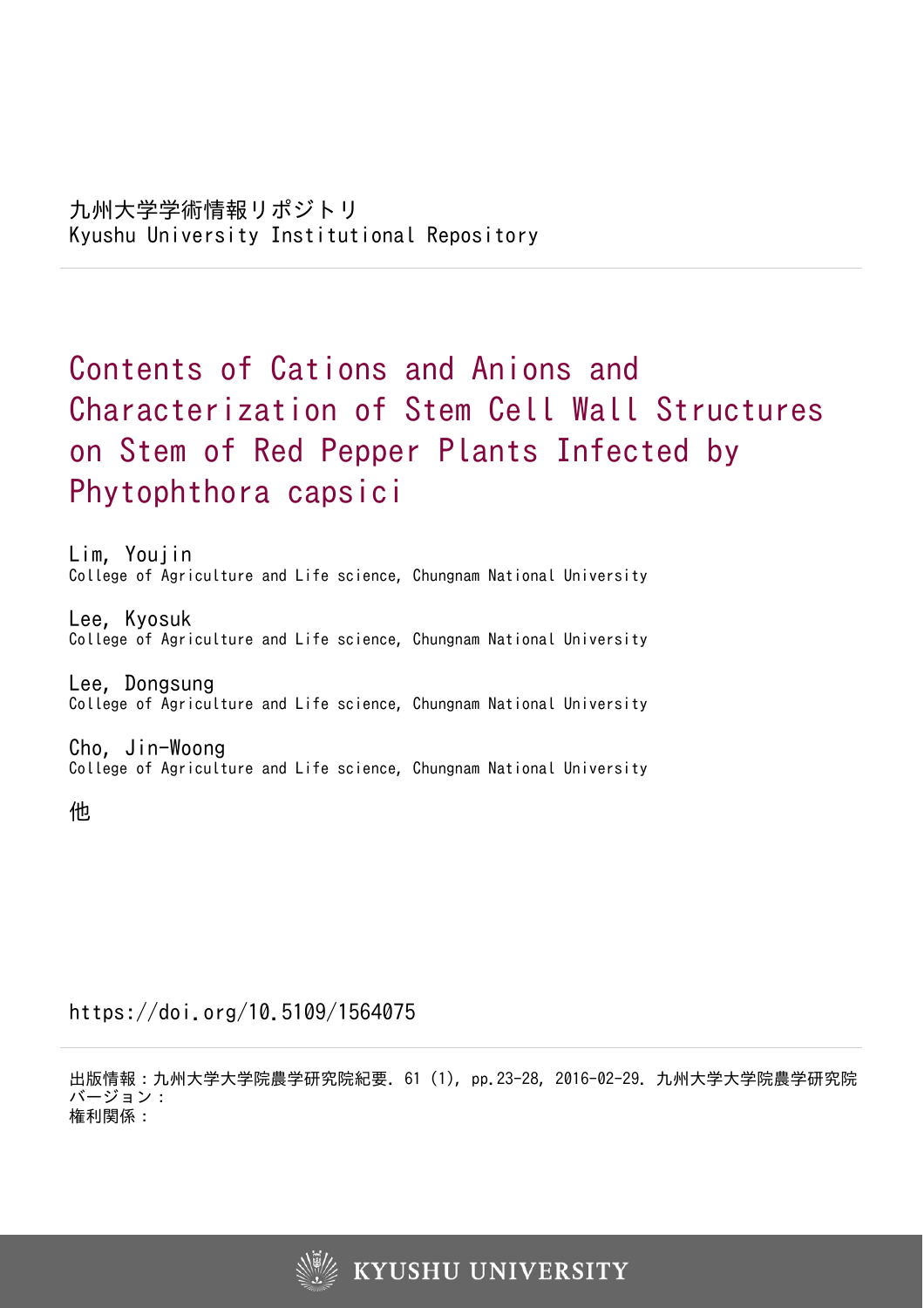# Contents of Cations and Anions and Characterization of Stem Cell Wall Structures on Stem of Red Pepper Plants Infected by Phytophthora capsici

Lim, Youjin College of Agriculture and Life science, Chungnam National University

Lee, Kyosuk College of Agriculture and Life science, Chungnam National University

Lee, Dongsung College of Agriculture and Life science, Chungnam National University

Cho, Jin-Woong College of Agriculture and Life science, Chungnam National University

他

https://doi.org/10.5109/1564075

出版情報:九州大学大学院農学研究院紀要. 61 (1), pp.23-28, 2016-02-29. 九州大学大学院農学研究院 バージョン: 権利関係:

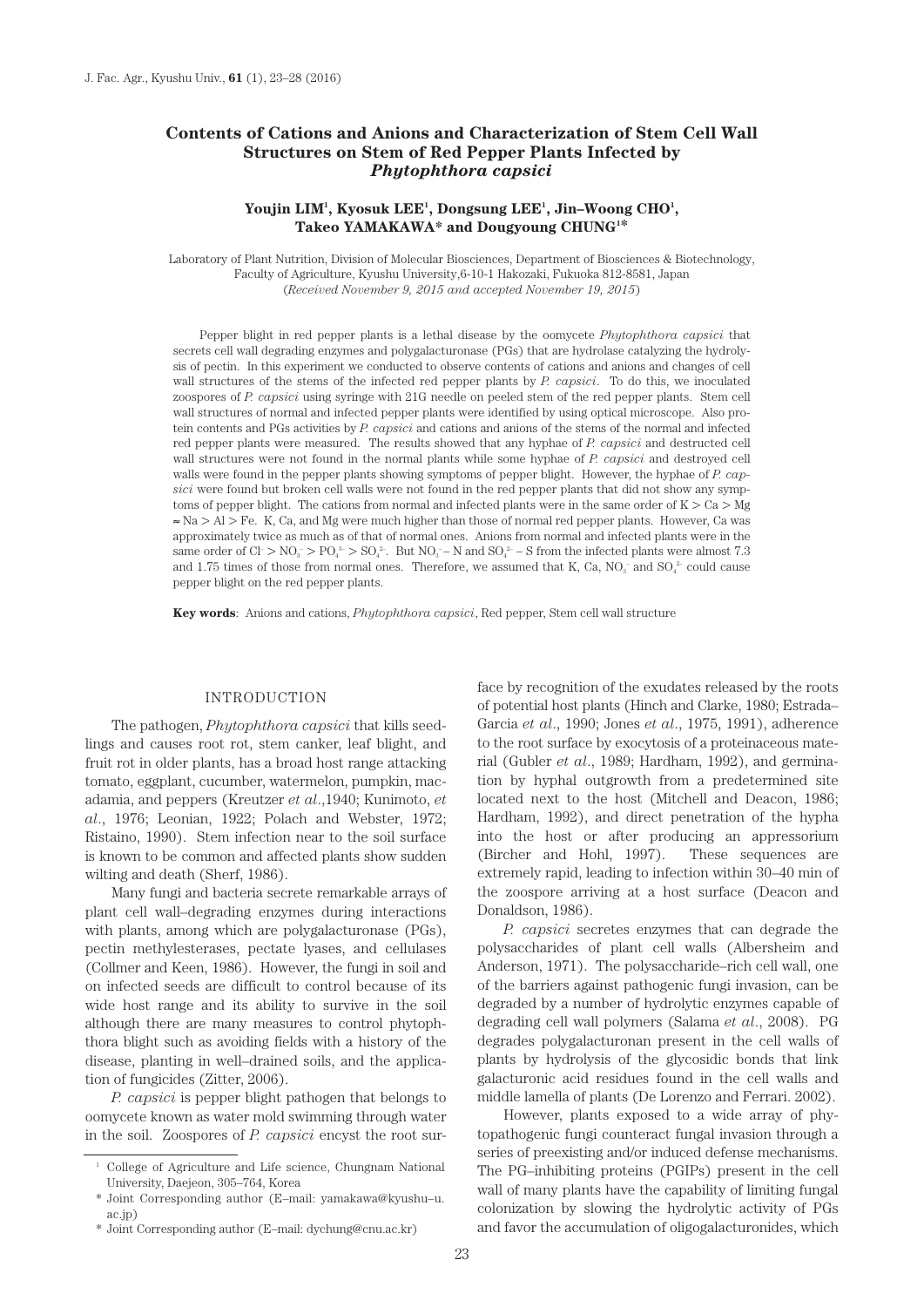# **Contents of Cations and Anions and Characterization of Stem Cell Wall Structures on Stem of Red Pepper Plants Infected by**  *Phytophthora capsici*

# Youjin LIM<sup>1</sup>, Kyosuk LEE<sup>1</sup>, Dongsung LEE<sup>1</sup>, Jin–Woong CHO<sup>1</sup>, **Takeo YAMAKAWA\* and Dougyoung CHUNG1 \***

Laboratory of Plant Nutrition, Division of Molecular Biosciences, Department of Biosciences & Biotechnology, Faculty of Agriculture, Kyushu University,6-10-1 Hakozaki, Fukuoka 812-8581, Japan (*Received November 9, 2015 and accepted November 19, 2015*)

Pepper blight in red pepper plants is a lethal disease by the oomycete *Phytophthora capsici* that secrets cell wall degrading enzymes and polygalacturonase (PGs) that are hydrolase catalyzing the hydrolysis of pectin. In this experiment we conducted to observe contents of cations and anions and changes of cell wall structures of the stems of the infected red pepper plants by *P. capsici*. To do this, we inoculated zoospores of *P. capsici* using syringe with 21G needle on peeled stem of the red pepper plants. Stem cell wall structures of normal and infected pepper plants were identified by using optical microscope. Also protein contents and PGs activities by *P. capsici* and cations and anions of the stems of the normal and infected red pepper plants were measured. The results showed that any hyphae of *P. capsici* and destructed cell wall structures were not found in the normal plants while some hyphae of *P. capsici* and destroyed cell walls were found in the pepper plants showing symptoms of pepper blight. However, the hyphae of *P. capsici* were found but broken cell walls were not found in the red pepper plants that did not show any symptoms of pepper blight. The cations from normal and infected plants were in the same order of  $K > Ca > Mg$ ≈ Na > Al > Fe. K, Ca, and Mg were much higher than those of normal red pepper plants. However, Ca was approximately twice as much as of that of normal ones. Anions from normal and infected plants were in the same order of  $Cl > NO_3 > PO_4^2 > SO_4^2$ . But  $NO_3^- - N$  and  $SO_4^2 - S$  from the infected plants were almost 7.3 and 1.75 times of those from normal ones. Therefore, we assumed that K, Ca,  $NO<sub>3</sub><sup>-</sup>$  and  $SO<sub>4</sub><sup>2-</sup>$  could cause pepper blight on the red pepper plants.

**Key words**: Anions and cations, *Phytophthora capsici*, Red pepper, Stem cell wall structure

#### INTRODUCTION

The pathogen, *Phytophthora capsici* that kills seedlings and causes root rot, stem canker, leaf blight, and fruit rot in older plants, has a broad host range attacking tomato, eggplant, cucumber, watermelon, pumpkin, macadamia, and peppers (Kreutzer *et al*.,1940; Kunimoto, *et al*., 1976; Leonian, 1922; Polach and Webster, 1972; Ristaino, 1990). Stem infection near to the soil surface is known to be common and affected plants show sudden wilting and death (Sherf, 1986).

Many fungi and bacteria secrete remarkable arrays of plant cell wall–degrading enzymes during interactions with plants, among which are polygalacturonase (PGs), pectin methylesterases, pectate lyases, and cellulases (Collmer and Keen, 1986). However, the fungi in soil and on infected seeds are difficult to control because of its wide host range and its ability to survive in the soil although there are many measures to control phytophthora blight such as avoiding fields with a history of the disease, planting in well–drained soils, and the application of fungicides (Zitter, 2006).

*P. capsici* is pepper blight pathogen that belongs to oomycete known as water mold swimming through water in the soil. Zoospores of *P. capsici* encyst the root sur-

\* Joint Corresponding author (E–mail: dychung@cnu.ac.kr)

face by recognition of the exudates released by the roots of potential host plants (Hinch and Clarke, 1980; Estrada– Garcia *et al*., 1990; Jones *et al*., 1975, 1991), adherence to the root surface by exocytosis of a proteinaceous material (Gubler *et al*., 1989; Hardham, 1992), and germination by hyphal outgrowth from a predetermined site located next to the host (Mitchell and Deacon, 1986; Hardham, 1992), and direct penetration of the hypha into the host or after producing an appressorium (Bircher and Hohl, 1997). These sequences are extremely rapid, leading to infection within 30–40 min of the zoospore arriving at a host surface (Deacon and Donaldson, 1986).

*P. capsici* secretes enzymes that can degrade the polysaccharides of plant cell walls (Albersheim and Anderson, 1971). The polysaccharide–rich cell wall, one of the barriers against pathogenic fungi invasion, can be degraded by a number of hydrolytic enzymes capable of degrading cell wall polymers (Salama *et al*., 2008). PG degrades polygalacturonan present in the cell walls of plants by hydrolysis of the glycosidic bonds that link galacturonic acid residues found in the cell walls and middle lamella of plants (De Lorenzo and Ferrari. 2002).

However, plants exposed to a wide array of phytopathogenic fungi counteract fungal invasion through a series of preexisting and/or induced defense mechanisms. The PG–inhibiting proteins (PGIPs) present in the cell wall of many plants have the capability of limiting fungal colonization by slowing the hydrolytic activity of PGs and favor the accumulation of oligogalacturonides, which

<sup>1</sup> College of Agriculture and Life science, Chungnam National University, Daejeon, 305–764, Korea

<sup>\*</sup> Joint Corresponding author (E–mail: yamakawa@kyushu–u. ac.jp)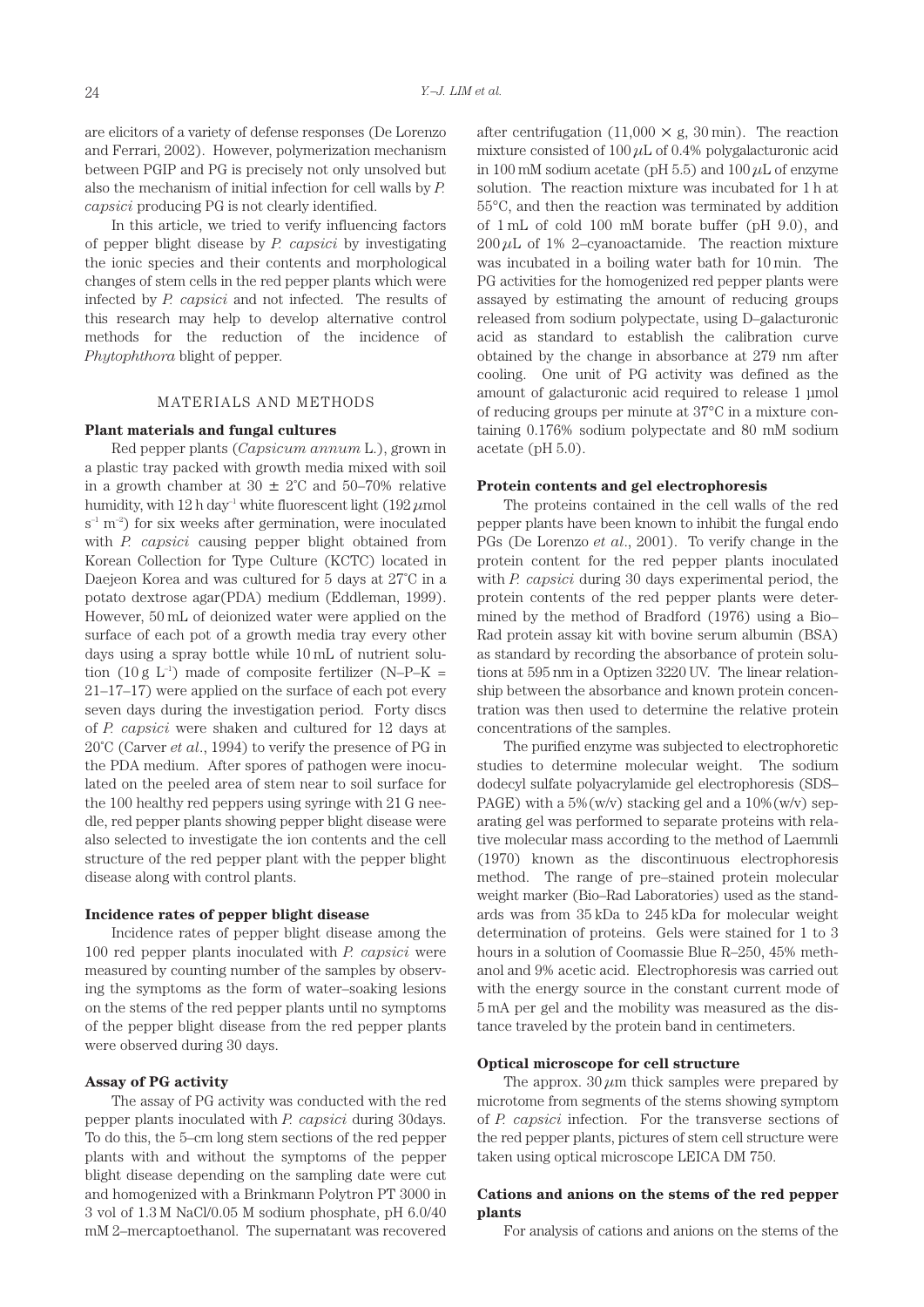are elicitors of a variety of defense responses (De Lorenzo and Ferrari, 2002). However, polymerization mechanism between PGIP and PG is precisely not only unsolved but also the mechanism of initial infection for cell walls by *P. capsici* producing PG is not clearly identified.

In this article, we tried to verify influencing factors of pepper blight disease by *P. capsici* by investigating the ionic species and their contents and morphological changes of stem cells in the red pepper plants which were infected by *P. capsici* and not infected. The results of this research may help to develop alternative control methods for the reduction of the incidence of *Phytophthora* blight of pepper.

## MATERIALS AND METHODS

# **Plant materials and fungal cultures**

Red pepper plants (*Capsicum annum* L.), grown in a plastic tray packed with growth media mixed with soil in a growth chamber at  $30 \pm 2^{\circ}$ C and  $50-70\%$  relative humidity, with 12 h day–1 white fluorescent light (192 *μ*mol  $s^{-1}$  m<sup>-2</sup>) for six weeks after germination, were inoculated with *P. capsici* causing pepper blight obtained from Korean Collection for Type Culture (KCTC) located in Daejeon Korea and was cultured for 5 days at 27˚C in a potato dextrose agar(PDA) medium (Eddleman, 1999). However, 50 mL of deionized water were applied on the surface of each pot of a growth media tray every other days using a spray bottle while 10 mL of nutrient solution (10 g  $L^{-1}$ ) made of composite fertilizer (N–P–K = 21–17–17) were applied on the surface of each pot every seven days during the investigation period. Forty discs of *P. capsici* were shaken and cultured for 12 days at 20˚C (Carver *et al*., 1994) to verify the presence of PG in the PDA medium. After spores of pathogen were inoculated on the peeled area of stem near to soil surface for the 100 healthy red peppers using syringe with 21 G needle, red pepper plants showing pepper blight disease were also selected to investigate the ion contents and the cell structure of the red pepper plant with the pepper blight disease along with control plants.

## **Incidence rates of pepper blight disease**

Incidence rates of pepper blight disease among the 100 red pepper plants inoculated with *P. capsici* were measured by counting number of the samples by observing the symptoms as the form of water–soaking lesions on the stems of the red pepper plants until no symptoms of the pepper blight disease from the red pepper plants were observed during 30 days.

## **Assay of PG activity**

The assay of PG activity was conducted with the red pepper plants inoculated with *P. capsici* during 30days. To do this, the 5–cm long stem sections of the red pepper plants with and without the symptoms of the pepper blight disease depending on the sampling date were cut and homogenized with a Brinkmann Polytron PT 3000 in 3 vol of 1.3 M NaCl/0.05 M sodium phosphate, pH 6.0/40 mM 2–mercaptoethanol. The supernatant was recovered

after centrifugation  $(11,000 \times g, 30 \text{ min})$ . The reaction mixture consisted of 100 *μ*L of 0.4% polygalacturonic acid in 100 mM sodium acetate (pH 5.5) and 100 *μ*L of enzyme solution. The reaction mixture was incubated for 1 h at 55°C, and then the reaction was terminated by addition of 1 mL of cold 100 mM borate buffer (pH 9.0), and  $200 \mu L$  of 1% 2–cyanoactamide. The reaction mixture was incubated in a boiling water bath for 10 min. The PG activities for the homogenized red pepper plants were assayed by estimating the amount of reducing groups released from sodium polypectate, using D–galacturonic acid as standard to establish the calibration curve obtained by the change in absorbance at 279 nm after cooling. One unit of PG activity was defined as the amount of galacturonic acid required to release 1 μmol of reducing groups per minute at 37°C in a mixture containing 0.176% sodium polypectate and 80 mM sodium acetate (pH 5.0).

#### **Protein contents and gel electrophoresis**

The proteins contained in the cell walls of the red pepper plants have been known to inhibit the fungal endo PGs (De Lorenzo *et al*., 2001). To verify change in the protein content for the red pepper plants inoculated with *P. capsici* during 30 days experimental period, the protein contents of the red pepper plants were determined by the method of Bradford (1976) using a Bio– Rad protein assay kit with bovine serum albumin (BSA) as standard by recording the absorbance of protein solutions at 595 nm in a Optizen 3220 UV. The linear relationship between the absorbance and known protein concentration was then used to determine the relative protein concentrations of the samples.

The purified enzyme was subjected to electrophoretic studies to determine molecular weight. The sodium dodecyl sulfate polyacrylamide gel electrophoresis (SDS– PAGE) with a  $5\%$  (w/v) stacking gel and a  $10\%$  (w/v) separating gel was performed to separate proteins with relative molecular mass according to the method of Laemmli (1970) known as the discontinuous electrophoresis method. The range of pre–stained protein molecular weight marker (Bio–Rad Laboratories) used as the standards was from 35 kDa to 245 kDa for molecular weight determination of proteins. Gels were stained for 1 to 3 hours in a solution of Coomassie Blue R–250, 45% methanol and 9% acetic acid. Electrophoresis was carried out with the energy source in the constant current mode of 5 mA per gel and the mobility was measured as the distance traveled by the protein band in centimeters.

## **Optical microscope for cell structure**

The approx.  $30 \mu m$  thick samples were prepared by microtome from segments of the stems showing symptom of *P. capsici* infection. For the transverse sections of the red pepper plants, pictures of stem cell structure were taken using optical microscope LEICA DM 750.

# **Cations and anions on the stems of the red pepper plants**

For analysis of cations and anions on the stems of the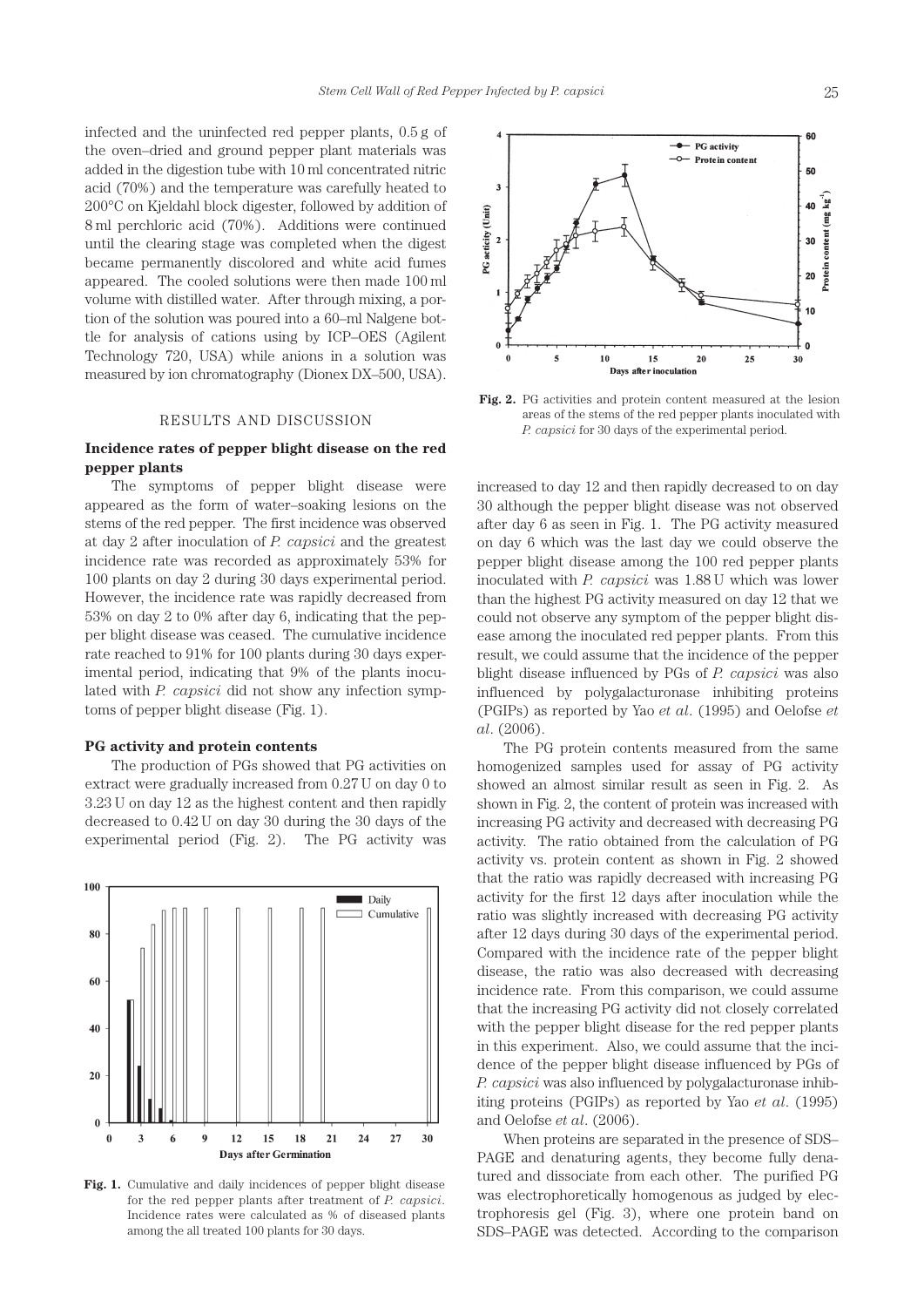infected and the uninfected red pepper plants, 0.5 g of the oven–dried and ground pepper plant materials was added in the digestion tube with 10 ml concentrated nitric acid (70%) and the temperature was carefully heated to 200°C on Kjeldahl block digester, followed by addition of 8 ml perchloric acid (70%). Additions were continued until the clearing stage was completed when the digest became permanently discolored and white acid fumes appeared. The cooled solutions were then made 100 ml volume with distilled water. After through mixing, a portion of the solution was poured into a 60–ml Nalgene bottle for analysis of cations using by ICP–OES (Agilent Technology 720, USA) while anions in a solution was measured by ion chromatography (Dionex DX–500, USA).

## RESULTS AND DISCUSSION

# **Incidence rates of pepper blight disease on the red pepper plants**

The symptoms of pepper blight disease were appeared as the form of water–soaking lesions on the stems of the red pepper. The first incidence was observed at day 2 after inoculation of *P. capsici* and the greatest incidence rate was recorded as approximately 53% for 100 plants on day 2 during 30 days experimental period. However, the incidence rate was rapidly decreased from 53% on day 2 to 0% after day 6, indicating that the pepper blight disease was ceased. The cumulative incidence rate reached to 91% for 100 plants during 30 days experimental period, indicating that 9% of the plants inoculated with *P. capsici* did not show any infection symptoms of pepper blight disease (Fig. 1).

#### **PG activity and protein contents**

The production of PGs showed that PG activities on extract were gradually increased from 0.27 U on day 0 to 3.23 U on day 12 as the highest content and then rapidly decreased to 0.42 U on day 30 during the 30 days of the experimental period (Fig. 2). The PG activity was



**Fig. 1.** Cumulative and daily incidences of pepper blight disease for the red pepper plants after treatment of *P. capsici*. Incidence rates were calculated as % of diseased plants among the all treated 100 plants for 30 days.



**Fig. 2.** PG activities and protein content measured at the lesion areas of the stems of the red pepper plants inoculated with *P. capsici* for 30 days of the experimental period.

increased to day 12 and then rapidly decreased to on day 30 although the pepper blight disease was not observed after day 6 as seen in Fig. 1. The PG activity measured on day 6 which was the last day we could observe the pepper blight disease among the 100 red pepper plants inoculated with *P. capsici* was 1.88 U which was lower than the highest PG activity measured on day 12 that we could not observe any symptom of the pepper blight disease among the inoculated red pepper plants. From this result, we could assume that the incidence of the pepper blight disease influenced by PGs of *P. capsici* was also influenced by polygalacturonase inhibiting proteins (PGIPs) as reported by Yao *et al*. (1995) and Oelofse *et al*. (2006).

The PG protein contents measured from the same homogenized samples used for assay of PG activity showed an almost similar result as seen in Fig. 2. As shown in Fig. 2, the content of protein was increased with increasing PG activity and decreased with decreasing PG activity. The ratio obtained from the calculation of PG activity vs. protein content as shown in Fig. 2 showed that the ratio was rapidly decreased with increasing PG activity for the first 12 days after inoculation while the ratio was slightly increased with decreasing PG activity after 12 days during 30 days of the experimental period. Compared with the incidence rate of the pepper blight disease, the ratio was also decreased with decreasing incidence rate. From this comparison, we could assume that the increasing PG activity did not closely correlated with the pepper blight disease for the red pepper plants in this experiment. Also, we could assume that the incidence of the pepper blight disease influenced by PGs of *P. capsici* was also influenced by polygalacturonase inhibiting proteins (PGIPs) as reported by Yao *et al*. (1995) and Oelofse *et al*. (2006).

When proteins are separated in the presence of SDS– PAGE and denaturing agents, they become fully denatured and dissociate from each other. The purified PG was electrophoretically homogenous as judged by electrophoresis gel (Fig. 3), where one protein band on SDS–PAGE was detected. According to the comparison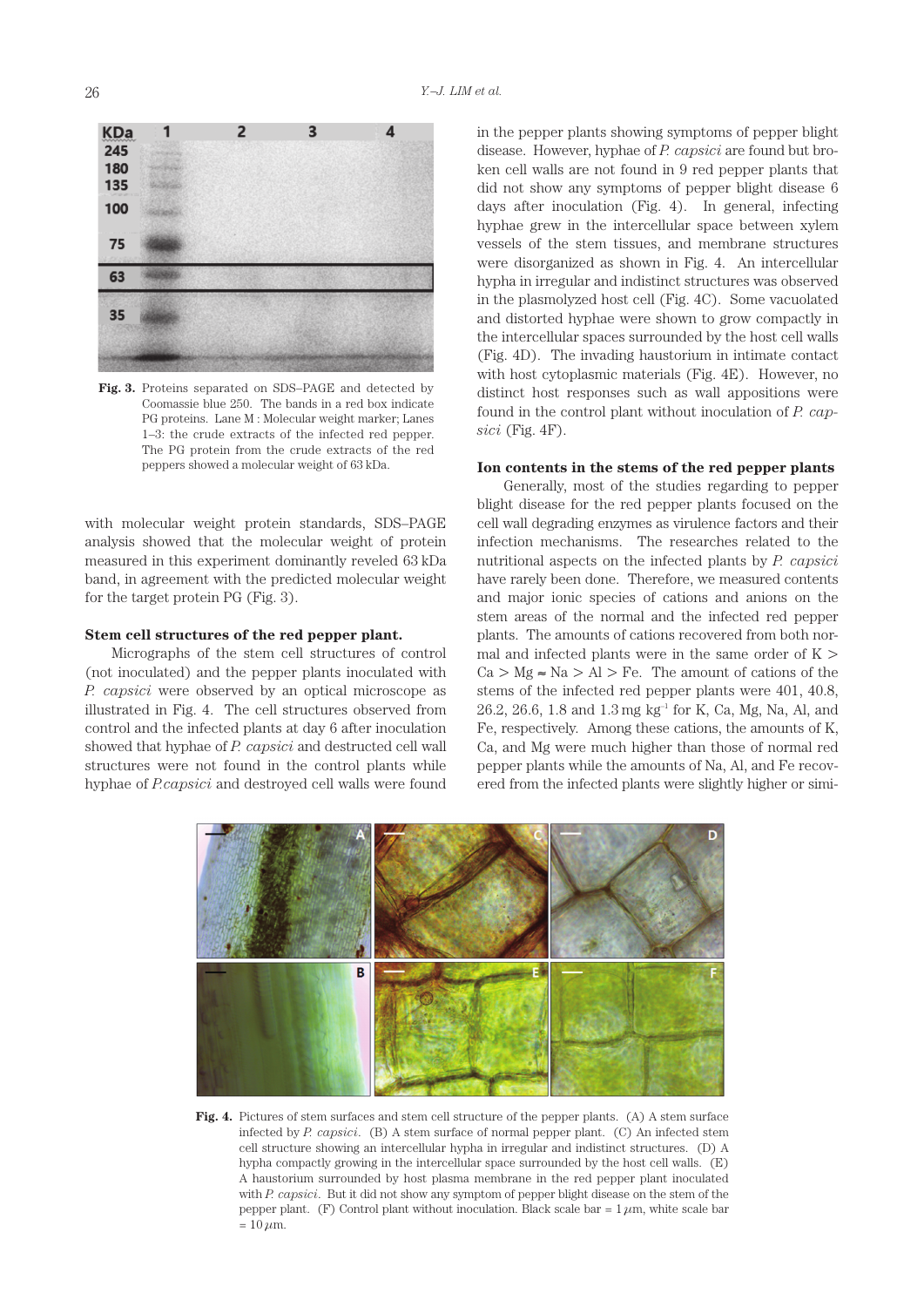

**Fig. 3.** Proteins separated on SDS–PAGE and detected by Coomassie blue 250. The bands in a red box indicate PG proteins. Lane M : Molecular weight marker; Lanes 1–3: the crude extracts of the infected red pepper. The PG protein from the crude extracts of the red peppers showed a molecular weight of 63 kDa.

with molecular weight protein standards, SDS–PAGE analysis showed that the molecular weight of protein measured in this experiment dominantly reveled 63 kDa band, in agreement with the predicted molecular weight for the target protein PG (Fig. 3).

## **Stem cell structures of the red pepper plant.**

Micrographs of the stem cell structures of control (not inoculated) and the pepper plants inoculated with *P. capsici* were observed by an optical microscope as illustrated in Fig. 4. The cell structures observed from control and the infected plants at day 6 after inoculation showed that hyphae of *P. capsici* and destructed cell wall structures were not found in the control plants while hyphae of *P.capsici* and destroyed cell walls were found in the pepper plants showing symptoms of pepper blight disease. However, hyphae of *P. capsici* are found but broken cell walls are not found in 9 red pepper plants that did not show any symptoms of pepper blight disease 6 days after inoculation (Fig. 4). In general, infecting hyphae grew in the intercellular space between xylem vessels of the stem tissues, and membrane structures were disorganized as shown in Fig. 4. An intercellular hypha in irregular and indistinct structures was observed in the plasmolyzed host cell (Fig. 4C). Some vacuolated and distorted hyphae were shown to grow compactly in the intercellular spaces surrounded by the host cell walls (Fig. 4D). The invading haustorium in intimate contact with host cytoplasmic materials (Fig. 4E). However, no distinct host responses such as wall appositions were found in the control plant without inoculation of *P. capsici* (Fig. 4F).

## **Ion contents in the stems of the red pepper plants**

Generally, most of the studies regarding to pepper blight disease for the red pepper plants focused on the cell wall degrading enzymes as virulence factors and their infection mechanisms. The researches related to the nutritional aspects on the infected plants by *P. capsici* have rarely been done. Therefore, we measured contents and major ionic species of cations and anions on the stem areas of the normal and the infected red pepper plants. The amounts of cations recovered from both normal and infected plants were in the same order of  $K$  >  $Ca > Mg \approx Na > Al > Fe$ . The amount of cations of the stems of the infected red pepper plants were 401, 40.8,  $26.2$ ,  $26.6$ , 1.8 and 1.3 mg kg<sup>-1</sup> for K, Ca, Mg, Na, Al, and Fe, respectively. Among these cations, the amounts of K, Ca, and Mg were much higher than those of normal red pepper plants while the amounts of Na, Al, and Fe recovered from the infected plants were slightly higher or simi-



Fig. 4. Pictures of stem surfaces and stem cell structure of the pepper plants. (A) A stem surface infected by *P. capsici*. (B) A stem surface of normal pepper plant. (C) An infected stem cell structure showing an intercellular hypha in irregular and indistinct structures. (D) A hypha compactly growing in the intercellular space surrounded by the host cell walls. (E) A haustorium surrounded by host plasma membrane in the red pepper plant inoculated with *P. capsici*. But it did not show any symptom of pepper blight disease on the stem of the pepper plant. (F) Control plant without inoculation. Black scale bar =  $1 \mu m$ , white scale bar  $= 10 \mu m$ .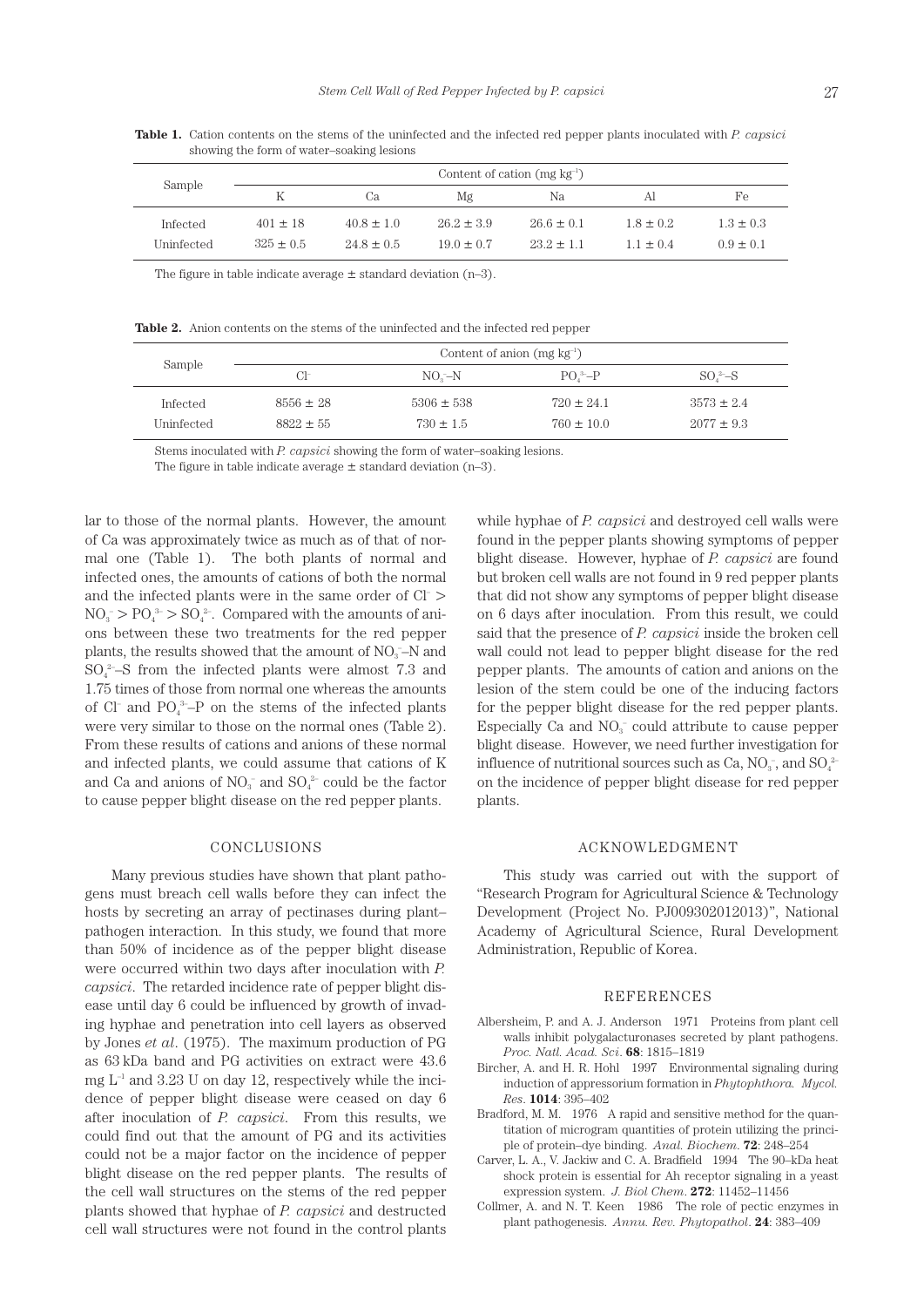| Sample     | Content of cation (mg $kg^{-1}$ ) |                |                |                |               |               |  |
|------------|-----------------------------------|----------------|----------------|----------------|---------------|---------------|--|
|            | K                                 | Cа             | Mg             | Na             | ΑI            | Fe            |  |
| Infected   | $401 \pm 18$                      | $40.8 \pm 1.0$ | $26.2 \pm 3.9$ | $26.6 \pm 0.1$ | $1.8 \pm 0.2$ | $1.3 \pm 0.3$ |  |
| Uninfected | $325 \pm 0.5$                     | $24.8 \pm 0.5$ | $19.0 \pm 0.7$ | $232 + 11$     | $11 + 04$     | $0.9 \pm 0.1$ |  |

**Table 1.** Cation contents on the stems of the uninfected and the infected red pepper plants inoculated with *P. capsici* showing the form of water–soaking lesions

The figure in table indicate average  $\pm$  standard deviation (n–3).

**Table 2.** Anion contents on the stems of the uninfected and the infected red pepper

| Sample     | Content of anion $(mg \, kg^{-1})$ |                |                |                |  |  |
|------------|------------------------------------|----------------|----------------|----------------|--|--|
|            | $Cl^-$                             | $NO - N$       | $PO^3-P$       | $SO^2-S$       |  |  |
| Infected   | $8556 \pm 28$                      | $5306 \pm 538$ | $720 \pm 24.1$ | $3573 \pm 2.4$ |  |  |
| Uninfected | $8822 \pm 55$                      | $730 \pm 1.5$  | $760 \pm 10.0$ | $2077 \pm 9.3$ |  |  |

Stems inoculated with *P. capsici* showing the form of water–soaking lesions.

The figure in table indicate average  $\pm$  standard deviation (n–3).

lar to those of the normal plants. However, the amount of Ca was approximately twice as much as of that of normal one (Table 1). The both plants of normal and infected ones, the amounts of cations of both the normal and the infected plants were in the same order of Cl– >  $NO_3^- > PO_4^3 > SO_4^2$ . Compared with the amounts of anions between these two treatments for the red pepper plants, the results showed that the amount of  $NO<sub>3</sub>$ –N and  $SO_4^2-S$  from the infected plants were almost 7.3 and 1.75 times of those from normal one whereas the amounts of Cl– and  $PO_4^3$ –P on the stems of the infected plants were very similar to those on the normal ones (Table 2). From these results of cations and anions of these normal and infected plants, we could assume that cations of K and Ca and anions of  $NO_3^-$  and  $SO_4^2$  could be the factor to cause pepper blight disease on the red pepper plants.

## CONCLUSIONS

Many previous studies have shown that plant pathogens must breach cell walls before they can infect the hosts by secreting an array of pectinases during plant– pathogen interaction. In this study, we found that more than 50% of incidence as of the pepper blight disease were occurred within two days after inoculation with *P. capsici*. The retarded incidence rate of pepper blight disease until day 6 could be influenced by growth of invading hyphae and penetration into cell layers as observed by Jones *et al*. (1975). The maximum production of PG as 63 kDa band and PG activities on extract were 43.6 mg  $L^{-1}$  and 3.23 U on day 12, respectively while the incidence of pepper blight disease were ceased on day 6 after inoculation of *P. capsici*. From this results, we could find out that the amount of PG and its activities could not be a major factor on the incidence of pepper blight disease on the red pepper plants. The results of the cell wall structures on the stems of the red pepper plants showed that hyphae of *P. capsici* and destructed cell wall structures were not found in the control plants

while hyphae of *P. capsici* and destroyed cell walls were found in the pepper plants showing symptoms of pepper blight disease. However, hyphae of *P. capsici* are found but broken cell walls are not found in 9 red pepper plants that did not show any symptoms of pepper blight disease on 6 days after inoculation. From this result, we could said that the presence of *P. capsici* inside the broken cell wall could not lead to pepper blight disease for the red pepper plants. The amounts of cation and anions on the lesion of the stem could be one of the inducing factors for the pepper blight disease for the red pepper plants. Especially Ca and  $NO<sub>3</sub><sup>-</sup>$  could attribute to cause pepper blight disease. However, we need further investigation for influence of nutritional sources such as Ca,  $NO_3^-$ , and  $SO_4^2$ on the incidence of pepper blight disease for red pepper plants.

## ACKNOWLEDGMENT

This study was carried out with the support of "Research Program for Agricultural Science & Technology Development (Project No. PJ009302012013)", National Academy of Agricultural Science, Rural Development Administration, Republic of Korea.

#### REFERENCES

- Albersheim, P. and A. J. Anderson 1971 Proteins from plant cell walls inhibit polygalacturonases secreted by plant pathogens. *Proc. Natl. Acad. Sci*. **68**: 1815–1819
- Bircher, A. and H. R. Hohl 1997 Environmental signaling during induction of appressorium formation in *Phytophthora. Mycol. Res*. **1014**: 395–402
- Bradford, M. M. 1976 A rapid and sensitive method for the quantitation of microgram quantities of protein utilizing the principle of protein–dye binding. *Anal. Biochem*. **72**: 248–254
- Carver, L. A., V. Jackiw and C. A. Bradfield 1994 The 90–kDa heat shock protein is essential for Ah receptor signaling in a yeast expression system. *J. Biol Chem*. **272**: 11452–11456
- Collmer, A. and N. T. Keen 1986 The role of pectic enzymes in plant pathogenesis. *Annu. Rev. Phytopathol*. **24**: 383–409